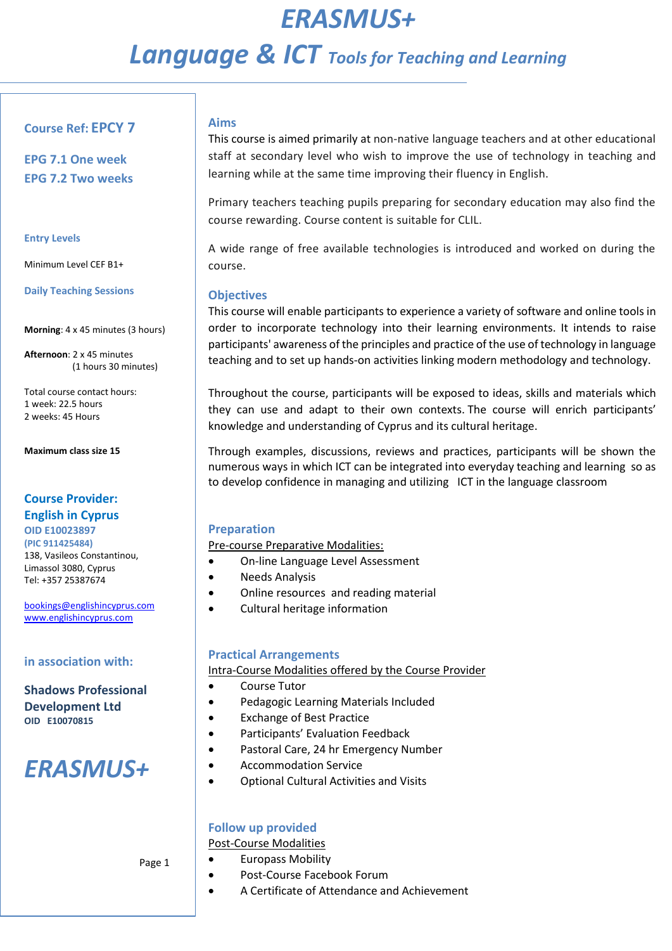# *ERASMUS+ Language & ICT Tools for Teaching and Learning*

# **Course Ref: EPCY 7**

**EPG 7.1 One week EPG 7.2 Two weeks**

### **Entry Levels**

Minimum Level CEF B1+

**Daily Teaching Sessions**

**Morning**: 4 x 45 minutes (3 hours)

**Afternoon**: 2 x 45 minutes (1 hours 30 minutes)

Total course contact hours: 1 week: 22.5 hours 2 weeks: 45 Hours

**Maximum class size 15**

# **Course Provider: English in Cyprus**

**OID E10023897 (PIC 911425484)**  138, Vasileos Constantinou, Limassol 3080, Cyprus Tel: +357 25387674

[bookings@englishincyprus.com](mailto:bookings@englishincyprus.com)  [www.englishincyprus.com](http://www.englishincyprus.com/) 

# **in association with:**

# **Shadows Professional Development Ltd OID E10070815**

# *ERASMUS+*

Page 1

# **Aims**

This course is aimed primarily at non-native language teachers and at other educational staff at secondary level who wish to improve the use of technology in teaching and learning while at the same time improving their fluency in English.

Primary teachers teaching pupils preparing for secondary education may also find the course rewarding. Course content is suitable for CLIL.

A wide range of free available technologies is introduced and worked on during the course.

# **Objectives**

This course will enable participants to experience a variety of software and online tools in order to incorporate technology into their learning environments. It intends to raise participants' awareness of the principles and practice of the use of technology in language teaching and to set up hands-on activities linking modern methodology and technology.

Throughout the course, participants will be exposed to ideas, skills and materials which they can use and adapt to their own contexts. The course will enrich participants' knowledge and understanding of Cyprus and its cultural heritage.

Through examples, discussions, reviews and practices, participants will be shown the numerous ways in which ICT can be integrated into everyday teaching and learning so as to develop confidence in managing and utilizing ICT in the language classroom

# **Preparation**

Pre-course Preparative Modalities:

- On-line Language Level Assessment
- Needs Analysis
- Online resources and reading material
- Cultural heritage information

# **Practical Arrangements**

Intra-Course Modalities offered by the Course Provider

- Course Tutor
- Pedagogic Learning Materials Included
- Exchange of Best Practice
- Participants' Evaluation Feedback
- Pastoral Care, 24 hr Emergency Number
- Accommodation Service
- Optional Cultural Activities and Visits

### **Follow up provided**

Post-Course Modalities

• Europass Mobility

- Post-Course Facebook Forum
- A Certificate of Attendance and Achievement